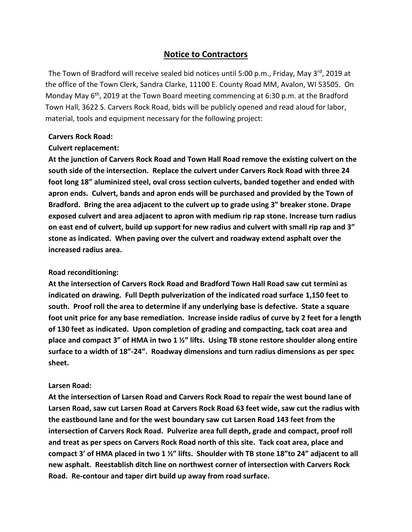### **Notice to Contractors**

The Town of Bradford will receive sealed bid notices until 5:00 p.m., Friday, May 3rd, 2019 at the office of the Town Clerk, Sandra Clarke, 11100 E. County Road MM, Avalon, WI 53505. On Monday May 6<sup>th</sup>, 2019 at the Town Board meeting commencing at 6:30 p.m. at the Bradford Town Hall, 3622 S. Carvers Rock Road, bids will be publicly opened and read aloud for labor, material, tools and equipment necessary for the following project:

### **Carvers Rock Road:**

### **Culvert replacement:**

**At the junction of Carvers Rock Road and Town Hall Road remove the existing culvert on the south side of the intersection. Replace the culvert under Carvers Rock Road with three 24 foot long 18" aluminized steel, oval cross section culverts, banded together and ended with apron ends. Culvert, bands and apron ends will be purchased and provided by the Town of Bradford. Bring the area adjacent to the culvert up to grade using 3" breaker stone. Drape exposed culvert and area adjacent to apron with medium rip rap stone. Increase turn radius on east end of culvert, build up support for new radius and culvert with small rip rap and 3" stone as indicated. When paving over the culvert and roadway extend asphalt over the increased radius area.** 

### **Road reconditioning:**

**At the intersection of Carvers Rock Road and Bradford Town Hall Road saw cut termini as indicated on drawing. Full Depth pulverization of the indicated road surface 1,150 feet to south. Proof roll the area to determine if any underlying base is defective. State a square foot unit price for any base remediation. Increase inside radius of curve by 2 feet for a length of 130 feet as indicated. Upon completion of grading and compacting, tack coat area and place and compact 3" of HMA in two 1 ½" lifts. Using TB stone restore shoulder along entire surface to a width of 18"-24". Roadway dimensions and turn radius dimensions as per spec sheet.**

#### **Larsen Road:**

**At the intersection of Larsen Road and Carvers Rock Road to repair the west bound lane of Larsen Road, saw cut Larsen Road at Carvers Rock Road 63 feet wide, saw cut the radius with the eastbound lane and for the west boundary saw cut Larsen Road 143 feet from the intersection of Carvers Rock Road. Pulverize area full depth, grade and compact, proof roll and treat as per specs on Carvers Rock Road north of this site. Tack coat area, place and compact 3' of HMA placed in two 1 ½" lifts. Shoulder with TB stone 18"to 24" adjacent to all new asphalt. Reestablish ditch line on northwest corner of intersection with Carvers Rock Road. Re-contour and taper dirt build up away from road surface.**